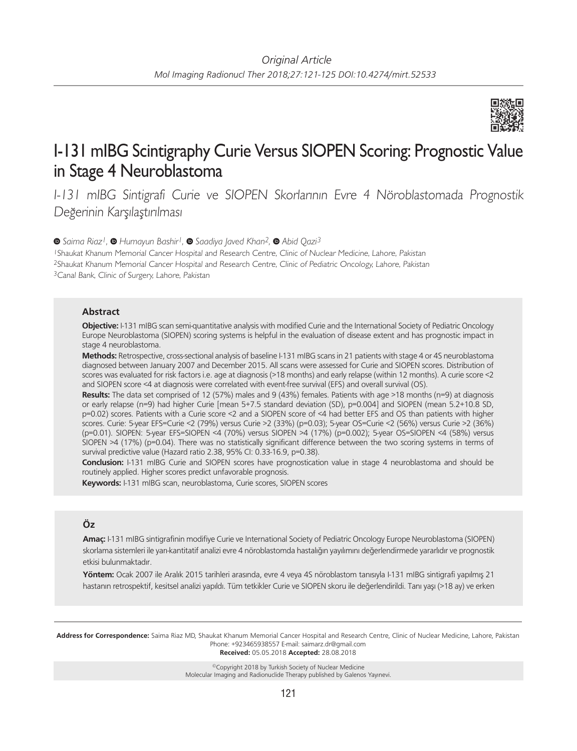

# I-131 mIBG Scintigraphy Curie Versus SIOPEN Scoring: Prognostic Value in Stage 4 Neuroblastoma

I-131 mIBG Sintigrafi Curie ve SIOPEN Skorlarının Evre 4 Nöroblastomada Prognostik Değerinin Karşılaştırılması

*Saima Riaz1,Humayun Bashir1,Saadiya Javed Khan2,Abid Qazi3*

<sup>1</sup>Shaukat Khanum Memorial Cancer Hospital and Research Centre, Clinic of Nuclear Medicine, Lahore, Pakistan <sup>2</sup>Shaukat Khanum Memorial Cancer Hospital and Research Centre, Clinic of Pediatric Oncology, Lahore, Pakistan <sup>3</sup>Canal Bank, Clinic of Surgery, Lahore, Pakistan

## **Abstract**

**Objective:** I-131 mIBG scan semi-quantitative analysis with modified Curie and the International Society of Pediatric Oncology Europe Neuroblastoma (SIOPEN) scoring systems is helpful in the evaluation of disease extent and has prognostic impact in stage 4 neuroblastoma.

**Methods:** Retrospective, cross-sectional analysis of baseline I-131 mIBG scans in 21 patients with stage 4 or 4S neuroblastoma diagnosed between January 2007 and December 2015. All scans were assessed for Curie and SIOPEN scores. Distribution of scores was evaluated for risk factors i.e. age at diagnosis (>18 months) and early relapse (within 12 months). A curie score <2 and SIOPEN score <4 at diagnosis were correlated with event-free survival (EFS) and overall survival (OS).

**Results:** The data set comprised of 12 (57%) males and 9 (43%) females. Patients with age >18 months (n=9) at diagnosis or early relapse (n=9) had higher Curie [mean 5+7.5 standard deviation (SD), p=0.004] and SIOPEN (mean 5.2+10.8 SD, p=0.02) scores. Patients with a Curie score <2 and a SIOPEN score of <4 had better EFS and OS than patients with higher scores. Curie: 5-year EFS=Curie <2 (79%) versus Curie >2 (33%) (p=0.03); 5-year OS=Curie <2 (56%) versus Curie >2 (36%) (p=0.01). SIOPEN: 5-year EFS=SIOPEN <4 (70%) versus SIOPEN >4 (17%) (p=0.002); 5-year OS=SIOPEN <4 (58%) versus SIOPEN >4 (17%) (p=0.04). There was no statistically significant difference between the two scoring systems in terms of survival predictive value (Hazard ratio 2.38, 95% CI: 0.33-16.9, p=0.38).

**Conclusion:** I-131 mIBG Curie and SIOPEN scores have prognostication value in stage 4 neuroblastoma and should be routinely applied. Higher scores predict unfavorable prognosis.

**Keywords:** I-131 mIBG scan, neuroblastoma, Curie scores, SIOPEN scores

## **Öz**

**Amaç:** I-131 mIBG sintigrafinin modifiye Curie ve International Society of Pediatric Oncology Europe Neuroblastoma (SIOPEN) skorlama sistemleri ile yarı-kantitatif analizi evre 4 nöroblastomda hastalığın yayılımını değerlendirmede yararlıdır ve prognostik etkisi bulunmaktadır.

**Yöntem:** Ocak 2007 ile Aralık 2015 tarihleri arasında, evre 4 veya 4S nöroblastom tanısıyla I-131 mIBG sintigrafi yapılmış 21 hastanın retrospektif, kesitsel analizi yapıldı. Tüm tetkikler Curie ve SIOPEN skoru ile değerlendirildi. Tanı yaşı (>18 ay) ve erken

**Address for Correspondence:** Saima Riaz MD, Shaukat Khanum Memorial Cancer Hospital and Research Centre, Clinic of Nuclear Medicine, Lahore, Pakistan Phone: +923465938557 E-mail: saimarz.dr@gmail.com **Received:** 05.05.2018 **Accepted:** 28.08.2018

©Copyright 2018 by Turkish Society of Nuclear Medicine Molecular Imaging and Radionuclide Therapy published by Galenos Yayınevi.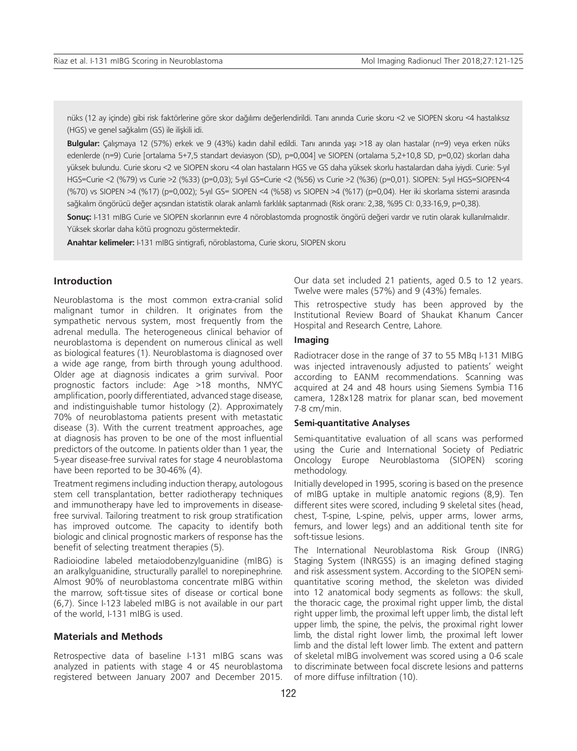nüks (12 ay içinde) gibi risk faktörlerine göre skor dağılımı değerlendirildi. Tanı anında Curie skoru <2 ve SIOPEN skoru <4 hastalıksız (HGS) ve genel sağkalım (GS) ile ilişkili idi.

**Bulgular:** Çalışmaya 12 (57%) erkek ve 9 (43%) kadın dahil edildi. Tanı anında yaşı >18 ay olan hastalar (n=9) veya erken nüks edenlerde (n=9) Curie [ortalama 5+7,5 standart deviasyon (SD), p=0,004] ve SIOPEN (ortalama 5,2+10,8 SD, p=0,02) skorları daha yüksek bulundu. Curie skoru <2 ve SIOPEN skoru <4 olan hastaların HGS ve GS daha yüksek skorlu hastalardan daha iyiydi. Curie: 5-yıl HGS=Curie <2 (%79) vs Curie >2 (%33) (p=0,03); 5-yıl GS=Curie <2 (%56) vs Curie >2 (%36) (p=0,01). SIOPEN: 5-yıl HGS=SIOPEN<4 (%70) vs SIOPEN >4 (%17) (p=0,002); 5-yıl GS= SIOPEN <4 (%58) vs SIOPEN >4 (%17) (p=0,04). Her iki skorlama sistemi arasında sağkalım öngörücü değer açısından istatistik olarak anlamlı farklılık saptanmadı (Risk oranı: 2,38, %95 CI: 0,33-16,9, p=0,38).

**Sonuç:** I-131 mIBG Curie ve SIOPEN skorlarının evre 4 nöroblastomda prognostik öngörü değeri vardır ve rutin olarak kullanılmalıdır. Yüksek skorlar daha kötü prognozu göstermektedir.

**Anahtar kelimeler:** I-131 mIBG sintigrafi, nöroblastoma, Curie skoru, SIOPEN skoru

## **Introduction**

Neuroblastoma is the most common extra-cranial solid malignant tumor in children. It originates from the sympathetic nervous system, most frequently from the adrenal medulla. The heterogeneous clinical behavior of neuroblastoma is dependent on numerous clinical as well as biological features (1). Neuroblastoma is diagnosed over a wide age range, from birth through young adulthood. Older age at diagnosis indicates a grim survival. Poor prognostic factors include: Age >18 months, NMYC amplification, poorly differentiated, advanced stage disease, and indistinguishable tumor histology (2). Approximately 70% of neuroblastoma patients present with metastatic disease (3). With the current treatment approaches, age at diagnosis has proven to be one of the most influential predictors of the outcome. In patients older than 1 year, the 5-year disease-free survival rates for stage 4 neuroblastoma have been reported to be 30-46% (4).

Treatment regimens including induction therapy, autologous stem cell transplantation, better radiotherapy techniques and immunotherapy have led to improvements in diseasefree survival. Tailoring treatment to risk group stratification has improved outcome. The capacity to identify both biologic and clinical prognostic markers of response has the benefit of selecting treatment therapies (5).

Radioiodine labeled metaiodobenzylguanidine (mIBG) is an aralkylguanidine, structurally parallel to norepinephrine. Almost 90% of neuroblastoma concentrate mIBG within the marrow, soft-tissue sites of disease or cortical bone (6,7). Since I-123 labeled mIBG is not available in our part of the world, I-131 mIBG is used.

#### **Materials and Methods**

Retrospective data of baseline I-131 mIBG scans was analyzed in patients with stage 4 or 4S neuroblastoma registered between January 2007 and December 2015. Our data set included 21 patients, aged 0.5 to 12 years. Twelve were males (57%) and 9 (43%) females.

This retrospective study has been approved by the Institutional Review Board of Shaukat Khanum Cancer Hospital and Research Centre, Lahore.

## **Imaging**

Radiotracer dose in the range of 37 to 55 MBq I-131 MIBG was injected intravenously adjusted to patients' weight according to EANM recommendations. Scanning was acquired at 24 and 48 hours using Siemens Symbia T16 camera, 128x128 matrix for planar scan, bed movement 7-8 cm/min.

#### **Semi-quantitative Analyses**

Semi-quantitative evaluation of all scans was performed using the Curie and International Society of Pediatric Oncology Europe Neuroblastoma (SIOPEN) scoring methodology.

Initially developed in 1995, scoring is based on the presence of mIBG uptake in multiple anatomic regions (8,9). Ten different sites were scored, including 9 skeletal sites (head, chest, T-spine, L-spine, pelvis, upper arms, lower arms, femurs, and lower legs) and an additional tenth site for soft-tissue lesions.

The International Neuroblastoma Risk Group (INRG) Staging System (INRGSS) is an imaging defined staging and risk assessment system. According to the SIOPEN semiquantitative scoring method, the skeleton was divided into 12 anatomical body segments as follows: the skull, the thoracic cage, the proximal right upper limb, the distal right upper limb, the proximal left upper limb, the distal left upper limb, the spine, the pelvis, the proximal right lower limb, the distal right lower limb, the proximal left lower limb and the distal left lower limb. The extent and pattern of skeletal mIBG involvement was scored using a 0-6 scale to discriminate between focal discrete lesions and patterns of more diffuse infiltration (10).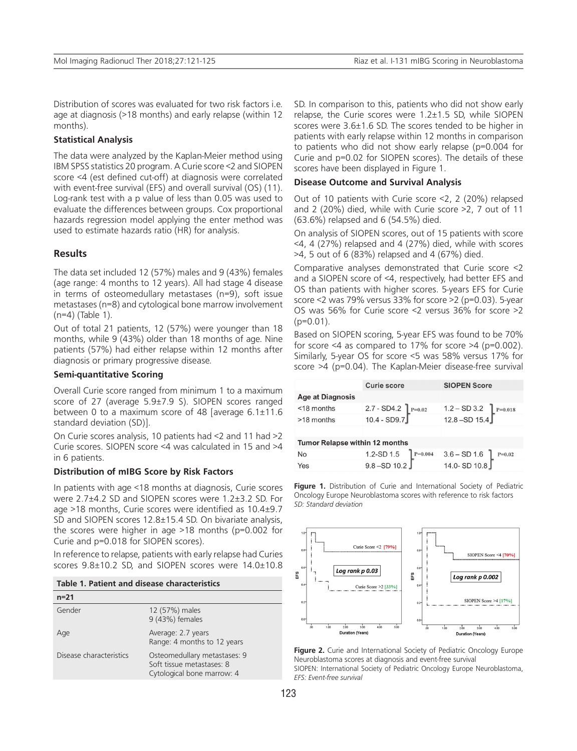Distribution of scores was evaluated for two risk factors i.e. age at diagnosis (>18 months) and early relapse (within 12 months).

#### **Statistical Analysis**

The data were analyzed by the Kaplan-Meier method using IBM SPSS statistics 20 program. A Curie score <2 and SIOPEN score <4 (est defined cut-off) at diagnosis were correlated with event-free survival (EFS) and overall survival (OS) (11). Log-rank test with a p value of less than 0.05 was used to evaluate the differences between groups. Cox proportional hazards regression model applying the enter method was used to estimate hazards ratio (HR) for analysis.

## **Results**

The data set included 12 (57%) males and 9 (43%) females (age range: 4 months to 12 years). All had stage 4 disease in terms of osteomedullary metastases (n=9), soft issue metastases (n=8) and cytological bone marrow involvement (n=4) (Table 1).

Out of total 21 patients, 12 (57%) were younger than 18 months, while 9 (43%) older than 18 months of age. Nine patients (57%) had either relapse within 12 months after diagnosis or primary progressive disease.

## **Semi-quantitative Scoring**

Overall Curie score ranged from minimum 1 to a maximum score of 27 (average 5.9±7.9 S). SIOPEN scores ranged between 0 to a maximum score of 48 [average 6.1±11.6 standard deviation (SD)].

On Curie scores analysis, 10 patients had <2 and 11 had >2 Curie scores. SIOPEN score <4 was calculated in 15 and >4 in 6 patients.

#### **Distribution of mIBG Score by Risk Factors**

In patients with age <18 months at diagnosis, Curie scores were 2.7±4.2 SD and SIOPEN scores were 1.2±3.2 SD. For age >18 months, Curie scores were identified as 10.4±9.7 SD and SIOPEN scores 12.8±15.4 SD. On bivariate analysis, the scores were higher in age >18 months (p=0.002 for Curie and p=0.018 for SIOPEN scores).

In reference to relapse, patients with early relapse had Curies scores 9.8±10.2 SD, and SIOPEN scores were 14.0±10.8

| $n = 21$                |                                                                                         |
|-------------------------|-----------------------------------------------------------------------------------------|
| Gender                  | 12 (57%) males<br>9 (43%) females                                                       |
| Age                     | Average: 2.7 years<br>Range: 4 months to 12 years                                       |
| Disease characteristics | Osteomedullary metastases: 9<br>Soft tissue metastases: 8<br>Cytological bone marrow: 4 |

SD. In comparison to this, patients who did not show early relapse, the Curie scores were 1.2±1.5 SD, while SIOPEN scores were 3.6±1.6 SD. The scores tended to be higher in patients with early relapse within 12 months in comparison to patients who did not show early relapse (p=0.004 for Curie and p=0.02 for SIOPEN scores). The details of these scores have been displayed in Figure 1.

#### **Disease Outcome and Survival Analysis**

Out of 10 patients with Curie score <2, 2 (20%) relapsed and 2 (20%) died, while with Curie score >2, 7 out of 11 (63.6%) relapsed and 6 (54.5%) died.

On analysis of SIOPEN scores, out of 15 patients with score <4, 4 (27%) relapsed and 4 (27%) died, while with scores >4, 5 out of 6 (83%) relapsed and 4 (67%) died.

Comparative analyses demonstrated that Curie score <2 and a SIOPEN score of <4, respectively, had better EFS and OS than patients with higher scores. 5-years EFS for Curie score <2 was 79% versus 33% for score >2 (p=0.03). 5-year OS was 56% for Curie score <2 versus 36% for score >2  $(p=0.01)$ .

Based on SIOPEN scoring, 5-year EFS was found to be 70% for score  $\leq 4$  as compared to 17% for score  $\geq 4$  (p=0.002). Similarly, 5-year OS for score <5 was 58% versus 17% for score >4 (p=0.04). The Kaplan-Meier disease-free survival

|                                       | <b>Curie score</b>                   | <b>SIOPEN Score</b>                       |  |
|---------------------------------------|--------------------------------------|-------------------------------------------|--|
| <b>Age at Diagnosis</b>               |                                      |                                           |  |
| $<$ 18 months                         | $2.7 - SD4.2 P=0.02$<br>10.4 - SD9.7 | $1.2 - SD 3.2$ $P=0.018$<br>12.8 -SD 15.4 |  |
| >18 months                            |                                      |                                           |  |
|                                       |                                      |                                           |  |
| <b>Tumor Relapse within 12 months</b> |                                      |                                           |  |
| No                                    | 1.2-SD 1.5 $P=0.004$<br>9.8 -SD 10.2 | $^{4}$ 3.6 - SD 1.6<br>14.0- SD 10.8      |  |
| Yes                                   |                                      |                                           |  |

**Figure 1.** Distribution of Curie and International Society of Pediatric Oncology Europe Neuroblastoma scores with reference to risk factors *SD: Standard deviation*



Figure 2. Curie and International Society of Pediatric Oncology Europe Neuroblastoma scores at diagnosis and event-free survival SIOPEN: International Society of Pediatric Oncology Europe Neuroblastoma, *EFS: Event-free survival*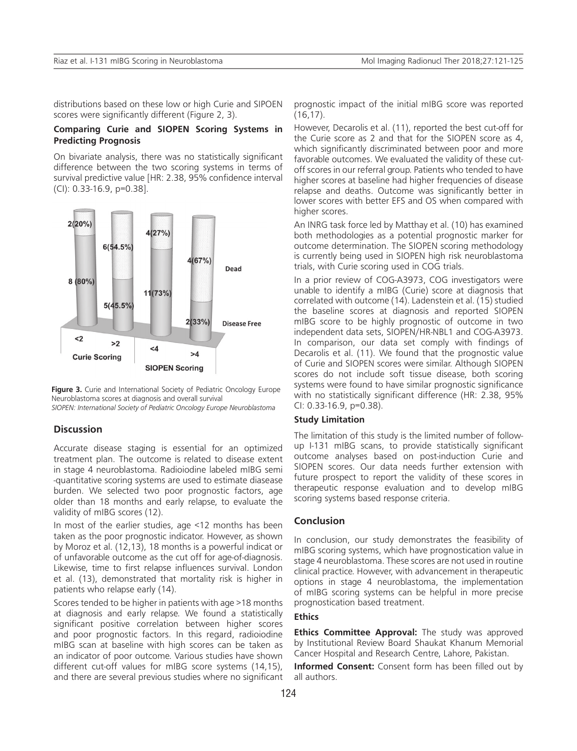distributions based on these low or high Curie and SIPOEN scores were significantly different (Figure 2, 3).

#### **Comparing Curie and SIOPEN Scoring Systems in Predicting Prognosis**

On bivariate analysis, there was no statistically significant difference between the two scoring systems in terms of survival predictive value [HR: 2.38, 95% confidence interval (CI): 0.33-16.9, p=0.38].



**Figure 3.** Curie and International Society of Pediatric Oncology Europe Neuroblastoma scores at diagnosis and overall survival *SIOPEN: International Society of Pediatric Oncology Europe Neuroblastoma*

## **Discussion**

Accurate disease staging is essential for an optimized treatment plan. The outcome is related to disease extent in stage 4 neuroblastoma. Radioiodine labeled mIBG semi -quantitative scoring systems are used to estimate diasease burden. We selected two poor prognostic factors, age older than 18 months and early relapse, to evaluate the validity of mIBG scores (12).

In most of the earlier studies, age <12 months has been taken as the poor prognostic indicator. However, as shown by Moroz et al. (12,13), 18 months is a powerful indicat or of unfavorable outcome as the cut off for age-of-diagnosis. Likewise, time to first relapse influences survival. London et al. (13), demonstrated that mortality risk is higher in patients who relapse early (14).

Scores tended to be higher in patients with age >18 months at diagnosis and early relapse. We found a statistically significant positive correlation between higher scores and poor prognostic factors. In this regard, radioiodine mIBG scan at baseline with high scores can be taken as an indicator of poor outcome. Various studies have shown different cut-off values for mIBG score systems (14,15), and there are several previous studies where no significant prognostic impact of the initial mIBG score was reported (16,17).

However, Decarolis et al. (11), reported the best cut-off for the Curie score as 2 and that for the SIOPEN score as 4, which significantly discriminated between poor and more favorable outcomes. We evaluated the validity of these cutoff scores in our referral group. Patients who tended to have higher scores at baseline had higher frequencies of disease relapse and deaths. Outcome was significantly better in lower scores with better EFS and OS when compared with higher scores.

An INRG task force led by Matthay et al. (10) has examined both methodologies as a potential prognostic marker for outcome determination. The SIOPEN scoring methodology is currently being used in SIOPEN high risk neuroblastoma trials, with Curie scoring used in COG trials.

In a prior review of COG-A3973, COG investigators were unable to identify a mIBG (Curie) score at diagnosis that correlated with outcome (14). Ladenstein et al. (15) studied the baseline scores at diagnosis and reported SIOPEN mIBG score to be highly prognostic of outcome in two independent data sets, SIOPEN/HR-NBL1 and COG-A3973. In comparison, our data set comply with findings of Decarolis et al. (11). We found that the prognostic value of Curie and SIOPEN scores were similar. Although SIOPEN scores do not include soft tissue disease, both scoring systems were found to have similar prognostic significance with no statistically significant difference (HR: 2.38, 95% CI: 0.33-16.9, p=0.38).

## **Study Limitation**

The limitation of this study is the limited number of followup I-131 mIBG scans, to provide statistically significant outcome analyses based on post-induction Curie and SIOPEN scores. Our data needs further extension with future prospect to report the validity of these scores in therapeutic response evaluation and to develop mIBG scoring systems based response criteria.

## **Conclusion**

In conclusion, our study demonstrates the feasibility of mIBG scoring systems, which have prognostication value in stage 4 neuroblastoma. These scores are not used in routine clinical practice. However, with advancement in therapeutic options in stage 4 neuroblastoma, the implementation of mIBG scoring systems can be helpful in more precise prognostication based treatment.

#### **Ethics**

**Ethics Committee Approval:** The study was approved by Institutional Review Board Shaukat Khanum Memorial Cancer Hospital and Research Centre, Lahore, Pakistan.

**Informed Consent:** Consent form has been filled out by all authors.